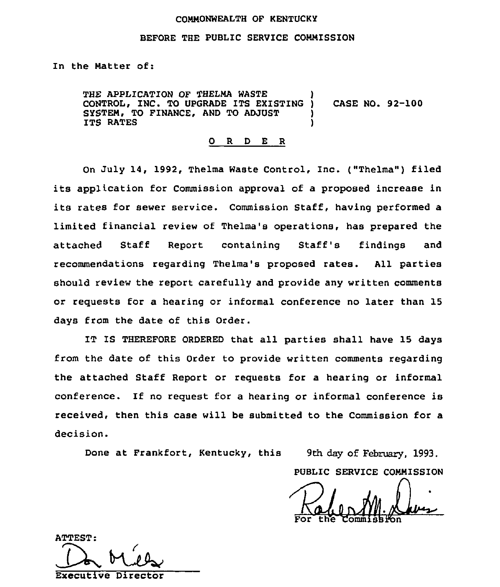#### COMMONWEALTH OF KENTUCKY

#### BEFORE THE PUBLIC SERVICE COMMISSION

In the Matter of:

THE APPLICATION OF THELMA WASTE CONTROL, INC. TO UPGRADE ITS EXISTING ) CASE NO. 92-100 SYSTEM, TO FINANCE, AND TO ADJUST ITS RATES

0 <sup>R</sup> <sup>D</sup> <sup>E</sup> <sup>R</sup>

On July 14, 1992, Thelma Waste Control, Inc. ("Thelma") filed its application for Commission approval of <sup>a</sup> proposed increase in its rates for sewer service. Commission Staff, having performed <sup>a</sup> limited financial review of Thelma's operations, has prepared the attached Staff Report containing Staff's findings and recommendations regarding Thelma's proposed rates. All parties should review the report carefully and provide any written comments or requests for a hearing or informal conference no later than 15 days from the date of this Order.

IT IS THEREFORE ORDERED that all parties shall have 15 days from the date of this Order to provide written comments regarding the attached Staff Report or requests for a hearing or informal conference. If no request for a hearing or informal conference is received, then this case will be submitted to the Commission for a decision.

Done at Frankfort, Kentucky, this 9th day of February, 1993.

PUBLIC SERVICE COMMISSION

For the Commission

**ATTEST:** 

Executive Director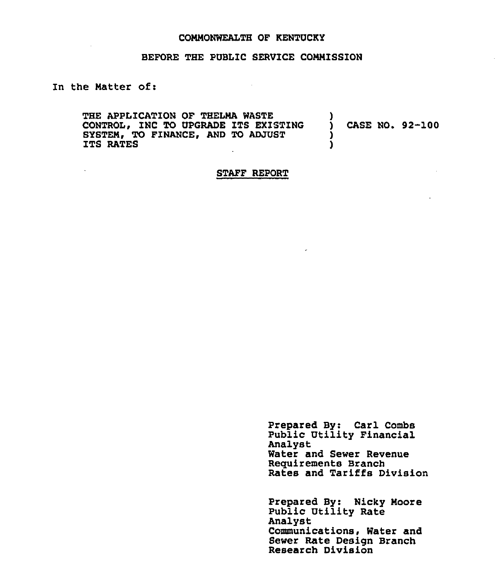#### COMMONWEALTH OF KENTUCKY

#### BEFORE THE PUBLIC SERVICE COMMISSION

## In the Matter of:

 $\Delta \sim 10^4$ 

THE APPLICATION OF THELMA WASTE  $\qquad$  )<br>CONTROL, INC TO UPGRADE ITS EXISTING  $\qquad$  ) CONTROL, INC TO UPGRADE ITS EXISTING ) CASE NO. 92-100<br>SYSTEM, TO FINANCE, AND TO ADJUST ) SYSTEM, TO FINANCE, AND TO ADJUST  $\overrightarrow{J}$  is the state of  $\overrightarrow{J}$ ITS RATES

#### STAFF REPORT

 $\tilde{\phantom{a}}$ 

Prepared By: Carl Combs Public Utility Financial Analyst Water and Sewer Revenue Requirements Branch Rates and Tariffs Division

Prepared By: Nicky Moore Public Utility Rate Analyst Communications, Water and Sewer Rate Design Branch Research Division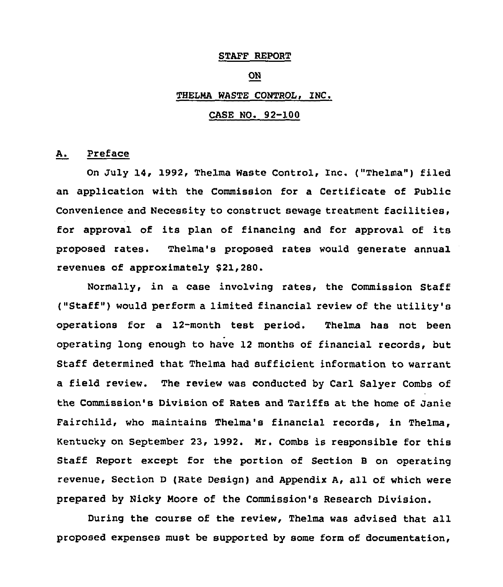#### STAFF REPORT

## ON

### THELMA WASTE CONTROL, INC.

## CASE NO. 92-100

### A. Preface

On July 14, 1992< Thelma Waste Control, Inc. ("Thelma") filed an application with the Commission for a Certificate of Public Convenience and Necessity to construct sewage treatment facilities, for approval of its plan of financing and for approval of its proposed rates. Thelma's proposed rates would generate annual revenues of approximately \$21,280.

Normally, in a case involving rates, the Commission Staff ("Staff" ) would perform <sup>a</sup> limited financial review of the utility's operations for a 12-month test period. Thelma has not been operating long enough to have 12 months of financial records, but Staff determined that Thelma had sufficient information to warrant a field review. The review was conducted by Carl Salyer Combs of the Commission's Division of Rates and Tariffs at the home of Janie Fairchild, who maintains Thelma's financial records, in Thelma, Kentucky on September 23, 1992. Mr. Combs is responsible for this Staff Report except for the portion of Section <sup>B</sup> on operating revenue, Section <sup>D</sup> (Rate Design) and Appendix A, all of which were prepared by Nicky Moore of the Commission's Research Division.

During the course of the review, Thelma was advised that all proposed expenses must be supported by some form of documentation,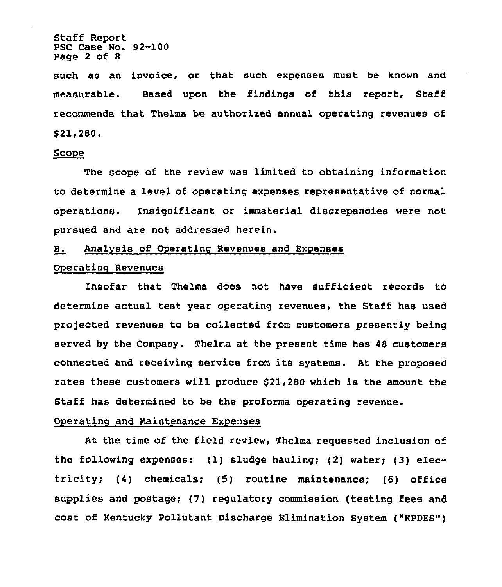Staff Report PSC Case No. 92-100 Page 2 of 8

such as an invoice, or that such expenses must be known and measurable. Based upon the findings of this report, Staff recommends that Thelma be authorised annual operating revenues of \$ 21,280.

### ~Sco e

The scope of the review was limited to obtaining information to determine a level of operating expenses representative of normal operations. Xnsignificant or immaterial discrepancies were not pursued and are not addressed herein.

## B. Analysis of Operating Revenues and Expenses

## Operating Revenues

insofar that Thelma does not have sufficient records to determine actual test year operating revenues, the Staff has used projected revenues to be collected from customers presently being served by the Company. Thelma at the present time has 48 customers connected and receiving service from its systems. At the proposed rates these customers will produce \$21,2SO which is the amount the Staff has determined to be the proforma operating revenue.

#### Operating and Maintenance Expenses

At the time of the field review, Thelma requested inclusion of the following expenses: (1) sludge hauling; (2) water; (3) electricity; (4) chemicals; (5) routine maintenance; (6) office supplies and postage; (7) regulatory commission (testing fees and cost of Kentucky Pollutant Discharge Elimination System ("KPDES")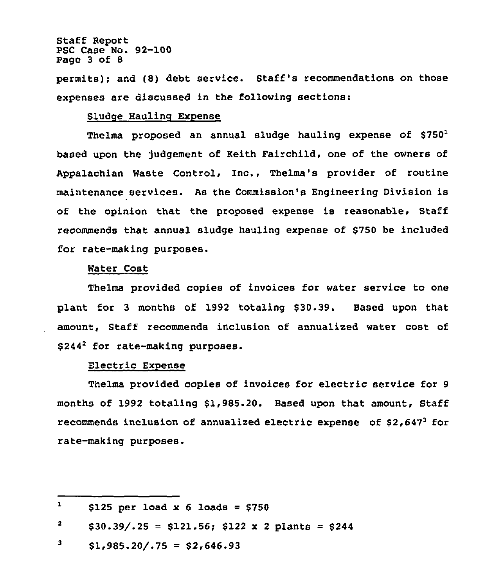## Staff Report PSC Case No. 92-100 Page 3 of 8

permits); and (8) debt service. Staff's recommendations on those expenses are discussed in the following sections:

## Sludge Haulinq Expense

Thelma proposed an annual sludge hauling expense of  $$750<sup>1</sup>$ based upon the judgement of Keith Fairchild, one of the owners of Appalachian Waste Control, Inc., Thelma's provider of routine maintenance services. As the Commission's Engineering Division is of the opinion that the proposed expense is reasonable, Staff recommends that annual sludge hauling expense of \$750 be included for rate-making purposes.

#### Water Cost

Thelma provided copies of invoices for water service to one plant for 3 months of 1992 totaling \$30.39. Based upon that amount, Staff recommends inclusion of annualized water cost of \$244<sup>2</sup> for rate-making purposes.

#### Electric Expense

Thelma provided copies of invoices for electric service for <sup>9</sup> months of 1992 totaling \$1,985.20. Based upon that amount, Staff recommends inclusion of annualized electric expense of  $$2,647^3$  for rate-making purposes.

 $\mathbf{1}$  $$125$  per load x 6 loads =  $$750$ 

 $\mathbf{z}$  $$30.39/.25 = $121.56; $122 \times 2 \text{ plants} = $244$ 

<sup>3</sup>  $$1,985.20/.75 = $2,646.93$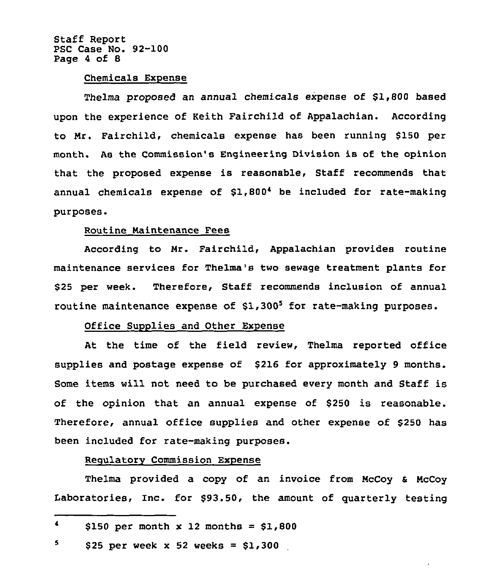Staff Report PSC Case No. 92-100 Page <sup>4</sup> of 8

#### Chemicals Expense

Thelma proposed an annual chemicals expense of \$1,800 based upon the experience of Keith Fairchild of Appalachian. According to Mr. Fairchild, chemicals expense has been running \$150 per month. As the Commission's Engineering Division is of the opinion that the proposed expense is reasonable, Staff recommends that annual chemicals expense of \$1,8004 be included for rate-making purposes.

## Routine Maintenance Fees

According to Mr. Fairchild, Appalachian provides routine maintenance services for Thelma's two sewage treatment plants for \$<sup>25</sup> per week. Therefore, Staff recommends inclusion of annual routine maintenance expense of  $$1,300<sup>5</sup>$  for rate-making purposes.

## Office Supplies and Other Expense

At the time of the field review, Thelma reported office supplies and postage expense of \$216 for approximately 9 months. Some items will not need to be purchased every month and Staff is of the opinion that an annual expense of \$250 is reasonable. Therefore, annual office supplies and other expense of \$250 has been included for rate-making purposes.

## Regulatory Commission Expense

Thelma provided a copy of an invoice from McCoy & McCoy Laboratories, Inc. for \$93.50, the amount of quarterly testing

5 \$25 per week  $x$  52 weeks =  $$1,300$ 

 $\blacktriangleleft$ \$150 per month  $x$  12 months = \$1,800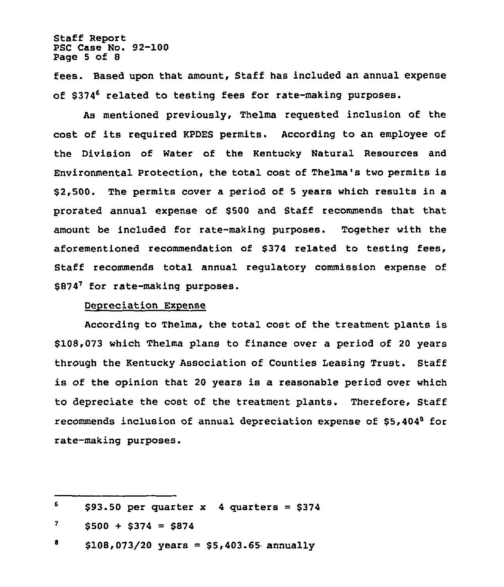Staff Report PSC Case No. 92-100 Page <sup>5</sup> of 8

fees. Based upon that amount, Staff has included an annual expense of \$374<sup>6</sup> related to testing fees for rate-making purposes.

As mentioned previously, Thelma requested inclusion of the cost of its required KPDES permits. According to an employee of the Division of Water of the Kentucky Natural Resources and Environmental protection, the total cost of Thelma's two permits is \$2,500. The permits cover a period of <sup>5</sup> years which results in a prorated annual expense of \$500 and Staff recommends that that amount be included for rate-making purposes. Together with the aforementioned recommendation of \$374 related to testing fees, Staff recommends total annual regulatory commission expense of \$874<sup>7</sup> for rate-making purposes.

## Depreciation Expense

According to Thelma, the total cost of the treatment plants is \$108,073 which Thelma plans to finance over a period of 20 years through the Kentucky Association of Counties Leasing Trust. Staff is of the opinion that 20 years is a reasonable period over which to depreciate the cost of the treatment plants. Therefore, Staff recommends inclusion of annual depreciation expense of  $$5,404^8$  for rate-making purposes.

<sup>6</sup>  $$93.50$  per quarter x 4 quarters =  $$374$ 

 $7<sup>1</sup>$  $$500 + $374 = $874$ 

<sup>8</sup>  $$108,073/20$  years = \$5,403.65 annually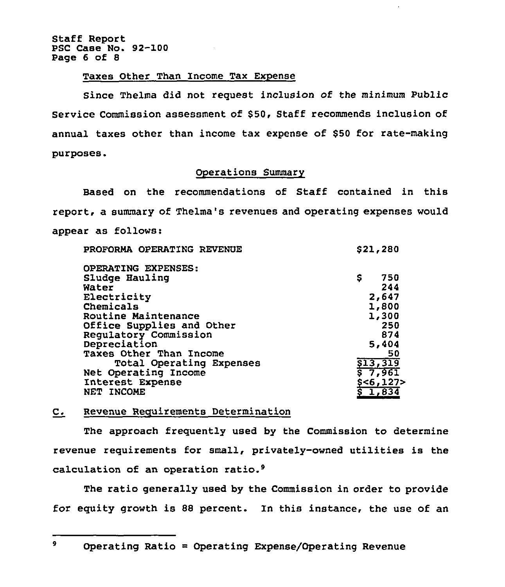Staff Report PSC Case No. 92-100 Page 6 of 8

### Taxes Other Than Income Tax Expense

Since Thelma did not request inclusion of the minimum Public Service Commission assessment of \$50, Staff recommends inclusion of annual taxes other than income tax expense of \$50 for rate-making purposes.

## Operations Summary

Based on the recommendations of Staff contained in this report, a summary of Thelma's revenues and operating expenses would appear as follows:

| PROFORMA OPERATING REVENUE | \$21,280            |
|----------------------------|---------------------|
| OPERATING EXPENSES:        |                     |
| Sludge Hauling             | \$<br>750           |
| Water                      | 244                 |
| Electricity                | 2,647               |
| Chemicals                  | 1,800               |
| Routine Maintenance        | 1,300               |
| Office Supplies and Other  | 250                 |
| Regulatory Commission      | 874                 |
| Depreciation               | 5,404               |
| Taxes Other Than Income    | 50                  |
| Total Operating Expenses   | \$13,319            |
| Net Operating Income       | 57,961              |
| Interest Expense           | \$ <b>6,127&gt;</b> |
| NET INCOME                 | \$1,834             |
|                            |                     |

## C. Revenue Requirements Determination

The approach frequently used by the Commission to determine revenue requirements for small, privately-owned utilities is the calculation of an operation ratio.<sup>9</sup>

The ratio generally used by the Commission in order to provide for equity growth is 88 percent. In this instance, the use of an

9

Operating Ratio = Operating Expense/Operating Revenue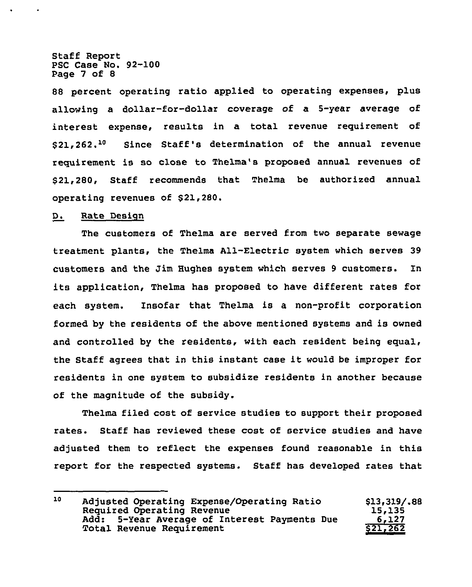Staff Report PSC Case No. 92-100 Page 7 of 8

88 percent operating ratio applied to operating expenses, plus allowing a dollar-for-dollar coverage of a 5-year average of interest expense, results in a total revenue requirement of \$21,262.<sup>10</sup> Since Staff's determination of the annual revenue requirement is so close to Thelma's proposed annual revenues of \$ 21,280, Staff recommends that Thelma be authorized annual operating revenues of \$21,280.

## D. Rate Design

The customers of Thelma are served from two separate sewage treatment plants, the Thelma All-Electric system which serves 39 customers and the Jim Hughes system which serves 9 customers. In its application, Thelma has proposed to have different rates for each system. Insofar that Thelma is a non-profit corporation formed by the residents of the above mentioned systems and is owned and controlled by the residents, with each resident being equal, the Staff agrees that in this instant case it would be improper for residents in one system to subsidize residents in another because of the magnitude of the subsidy.

Thelma filed cost of service studies to support their proposed rates. Staff has reviewed these cost of service studies and have adjusted them to reflect the expenses found reasonable in this report for the respected systems. Staff has developed rates that

<sup>10</sup> Adjusted operating Expense/operating Ratio Required Operating Revenue Add: 5-Year Average of Interest Payments Due Total Revenue Requirement \$13i319/-88 15,135 6,127 \$21,262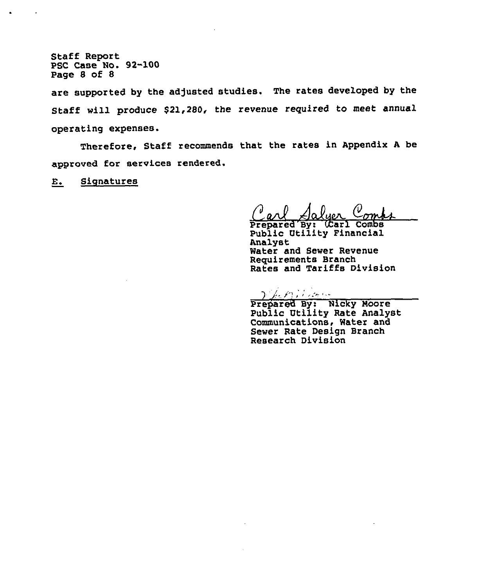Staff Report PSC Case No. 92-100 Page 8 of 8

 $\bullet$ 

 $\tilde{\phantom{a}}$ 

are supported by the adjusted studies. The rates developed by the Staff will produce \$21,280, the revenue required to meet annual operating expenses.

Therefore, Staff recommends that the rates in Appendix <sup>A</sup> be approved for services rendered.

E. Siqnatures

Carl Salyer Comp

Public Vtility Financial Analyst Water and Sewer Revenue Requirements Branch Rates and Tariffs Division

Vhenilian

Prepared By: Nicky Moore Public Vtility Rate Analyst Communications, Water and Sewer Rate Design Branch Research Division